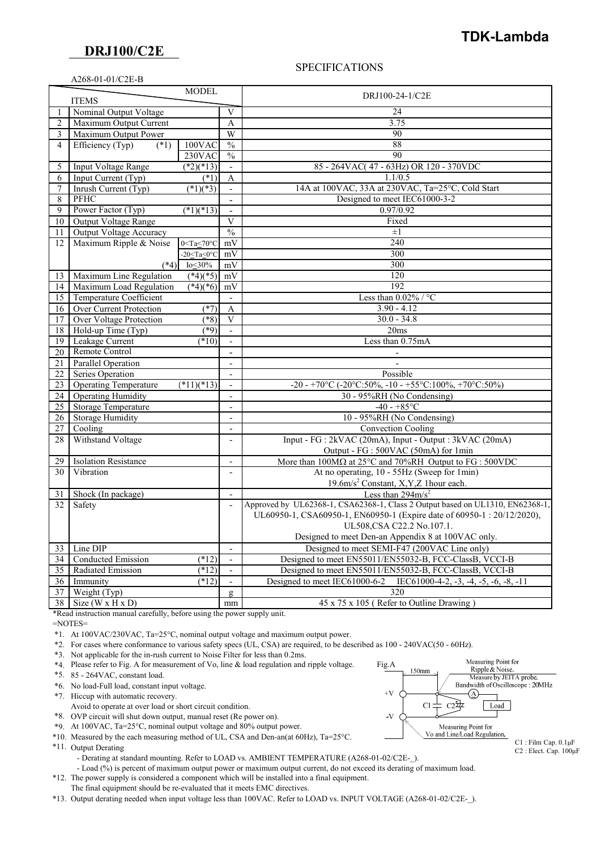## **DRJ100/C2E**

## SPECIFICATIONS

|                    | <b>TDK-Lambda</b> |
|--------------------|-------------------|
| <b>DR.I100/C2E</b> |                   |

|                | A268-01-01/C2E-B               |                           |                          |                                                                                                    |
|----------------|--------------------------------|---------------------------|--------------------------|----------------------------------------------------------------------------------------------------|
|                |                                | <b>MODEL</b>              |                          |                                                                                                    |
|                | <b>ITEMS</b>                   |                           |                          | DRJ100-24-1/C2E                                                                                    |
|                | Nominal Output Voltage         |                           | V                        | 24                                                                                                 |
| $\overline{2}$ | Maximum Output Current         |                           | A                        | 3.75                                                                                               |
| 3              | Maximum Output Power           |                           | W                        | 90                                                                                                 |
| 4              | Efficiency (Typ)<br>$(*1)$     | 100VAC                    | $\frac{0}{6}$            | 88                                                                                                 |
|                |                                | 230VAC                    | $\frac{0}{0}$            | 90                                                                                                 |
| 5              | Input Voltage Range            | $(*2)(*13)$               | $\overline{\phantom{a}}$ | 85 - 264VAC(47 - 63Hz) OR 120 - 370VDC                                                             |
| 6              | Input Current (Typ)            | $(*1)$                    | A                        | 1.1/0.5                                                                                            |
| $\overline{7}$ | Inrush Current (Typ)           | $(*1)(*3)$                | $\overline{\phantom{a}}$ | 14A at 100VAC, 33A at 230VAC, Ta=25°C, Cold Start                                                  |
| 8              | PFHC                           |                           |                          | Designed to meet IEC61000-3-2                                                                      |
| 9              | Power Factor (Typ)             | $(*1)(*13)$               | $\blacksquare$           | 0.97/0.92                                                                                          |
| 10             | Output Voltage Range           |                           | $\mathbf{V}$             | Fixed                                                                                              |
| 11             | Output Voltage Accuracy        |                           | $\frac{0}{0}$            | $\pm 1$                                                                                            |
| 12             | Maximum Ripple & Noise         | $0 < Ta \leq 70^{\circ}C$ | mV                       | 240                                                                                                |
|                |                                | -20 $\leq$ Ta $\leq$ 0°C  | mV                       | 300                                                                                                |
|                | $(*4)$                         | $I_0 < 30\%$              | mV                       | 300                                                                                                |
| 13             | Maximum Line Regulation        | $(*4)(*5)$                | mV                       | 120                                                                                                |
| 14             | Maximum Load Regulation        | $(*4)(*6)$                | mV                       | 192                                                                                                |
| 15             | Temperature Coefficient        |                           | $\overline{\phantom{a}}$ | Less than $0.02\%$ / °C                                                                            |
| 16             | Over Current Protection        | $(*7)$                    | $\mathbf{A}$             | $3.90 - 4.12$                                                                                      |
| 17             | <b>Over Voltage Protection</b> | $(*8)$                    | $\overline{\mathbf{V}}$  | $30.0 - 34.8$                                                                                      |
| 18             | Hold-up Time (Typ)             | $(*9)$                    | $\overline{\phantom{a}}$ | 20ms                                                                                               |
| 19             | Leakage Current                | $(*10)$                   |                          | Less than 0.75mA                                                                                   |
| 20             | Remote Control                 |                           | $\blacksquare$           |                                                                                                    |
| 21             | Parallel Operation             |                           | $\blacksquare$           |                                                                                                    |
| 22             | Series Operation               |                           | $\overline{\phantom{a}}$ | Possible                                                                                           |
| 23             | <b>Operating Temperature</b>   | $(*11)(*13)$              | $\overline{\phantom{a}}$ | -20 - +70°C (-20°C:50%, -10 - +55°C:100%, +70°C:50%)                                               |
| 24             | <b>Operating Humidity</b>      |                           | $\overline{\phantom{a}}$ | 30 - 95%RH (No Condensing)                                                                         |
| 25             | <b>Storage Temperature</b>     |                           | $\overline{\phantom{a}}$ | $-40 - +85$ °C                                                                                     |
| 26             | <b>Storage Humidity</b>        |                           | $\overline{\phantom{a}}$ | 10 - 95%RH (No Condensing)                                                                         |
| 27             | Cooling                        |                           | $\overline{\phantom{a}}$ | Convection Cooling                                                                                 |
| 28             | Withstand Voltage              |                           | $\blacksquare$           | Input - FG : 2kVAC (20mA), Input - Output : 3kVAC (20mA)                                           |
|                |                                |                           |                          | Output - FG : 500VAC (50mA) for 1min                                                               |
| 29             | <b>Isolation Resistance</b>    |                           | $\overline{\phantom{a}}$ | More than $100\text{M}\Omega$ at $25^{\circ}\text{C}$ and $70\%$ RH Output to FG : $500\text{VDC}$ |
| 30             | Vibration                      |                           | $\blacksquare$           | At no operating, 10 - 55Hz (Sweep for 1min)                                                        |
|                |                                |                           |                          | 19.6m/s <sup>2</sup> Constant, X, Y, Z 1 hour each.                                                |
| 31             | Shock (In package)             |                           | $\overline{\phantom{a}}$ | Less than $294 \text{m/s}^2$                                                                       |
| 32             | Safety                         |                           | $\overline{\phantom{a}}$ | Approved by UL62368-1, CSA62368-1, Class 2 Output based on UL1310, EN62368-1,                      |
|                |                                |                           |                          | UL60950-1, CSA60950-1, EN60950-1 (Expire date of 60950-1: 20/12/2020),                             |
|                |                                |                           |                          | UL508, CSA C22.2 No.107.1.                                                                         |
|                |                                |                           |                          | Designed to meet Den-an Appendix 8 at 100VAC only.                                                 |
| 33             | Line DIP                       |                           | $\overline{\phantom{a}}$ | Designed to meet SEMI-F47 (200VAC Line only)                                                       |
| 34             | Conducted Emission             | $(*12)$                   | $\overline{\phantom{a}}$ | Designed to meet EN55011/EN55032-B, FCC-ClassB, VCCI-B                                             |
| 35             | Radiated Emission              | (12)                      |                          | Designed to meet EN55011/EN55032-B, FCC-ClassB, VCCI-B                                             |
| 36             | Immunity                       | $(*12)$                   |                          | Designed to meet IEC61000-6-2 IEC61000-4-2, -3, -4, -5, -6, -8, -11                                |
| 37             | Weight (Typ)                   |                           | g                        | 320                                                                                                |
| 38             | Size $(W \times H \times D)$   |                           | mm                       | 45 x 75 x 105 (Refer to Outline Drawing)                                                           |

\*Read instruction manual carefully, before using the power supply unit.

=NOTES=

\*1. At 100VAC/230VAC, Ta=25°C, nominal output voltage and maximum output power.

\*2. For cases where conformance to various safety specs (UL, CSA) are required, to be described as 100 - 240VAC(50 - 60Hz).

\*3. Not applicable for the in-rush current to Noise Filter for less than 0.2ms.

\*4. Please refer to Fig. A for measurement of Vo, line & load regulation and ripple voltage. Fig.A

\*5. 85 - 264VAC, constant load.

\*6. No load-Full load, constant input voltage.

\*7. Hiccup with automatic recovery.

- Avoid to operate at over load or short circuit condition.
- \*8. OVP circuit will shut down output, manual reset (Re power on).
- \*9. At 100VAC, Ta=25°C, nominal output voltage and 80% output power.
- \*10. Measured by the each measuring method of UL, CSA and Den-an(at 60Hz), Ta=25°C.
- \*11. Output Derating
	- Derating at standard mounting. Refer to LOAD vs. AMBIENT TEMPERATURE (A268-01-02/C2E-).

- Load (%) is percent of maximum output power or maximum output current, do not exceed its derating of maximum load.

 \*12. The power supply is considered a component which will be installed into a final equipment. The final equipment should be re-evaluated that it meets EMC directives.

\*13. Output derating needed when input voltage less than 100VAC. Refer to LOAD vs. INPUT VOLTAGE (A268-01-02/C2E-\_).



C2 : Elect. Cap. 100μF